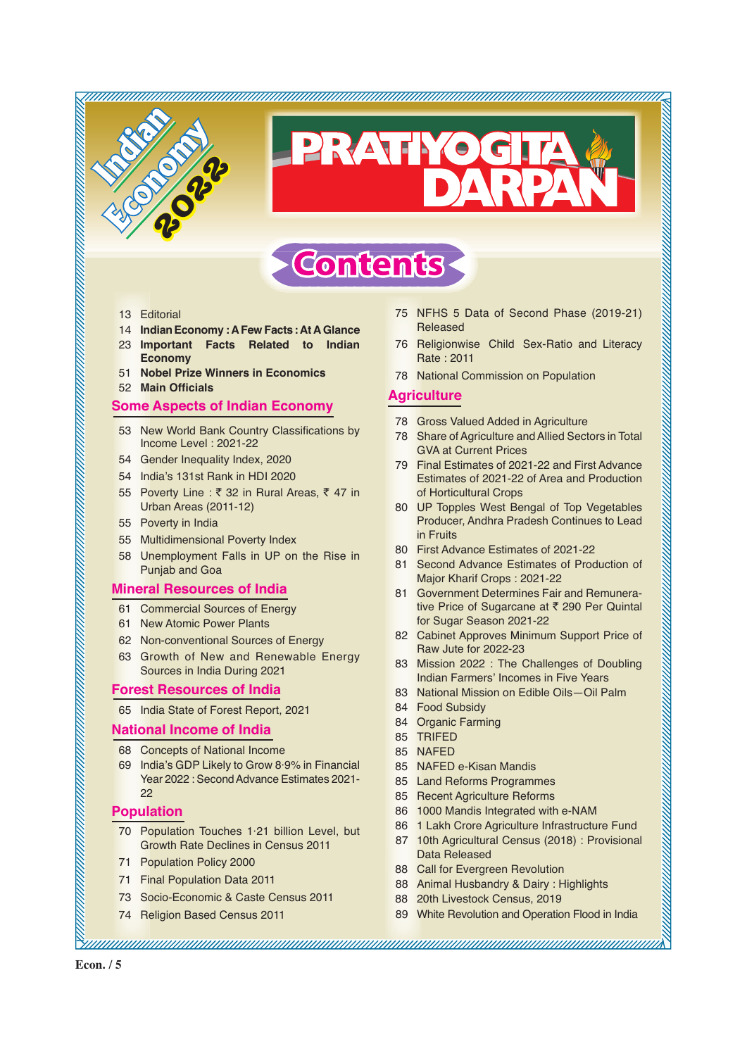

# RVATIYO

# **Contents**

- 13 Editorial
- 14 **IndianEconomy : A Few Facts:At AGlance**
- 23 **Important Facts Related to Indian Economy**
- 51 **Nobel Prize Winners in Economics**
- **52 Main Officials**

#### **Some Aspects of Indian Economy**

- 53 New World Bank Country Classifications by Income Level : 2021-22
- 54 Gender Inequality Index, 2020
- 54 India's 131st Rank in HDI 2020
- 55 Poverty Line :  $\bar{\tau}$  32 in Rural Areas,  $\bar{\tau}$  47 in Urban Areas (2011-12)
- 55 Poverty in India
- 55 Multidimensional Poverty Index
- 58 Unemployment Falls in UP on the Rise in Punjab and Goa

# **Mineral Resources of India**

- 61 Commercial Sources of Energy
- 61 New Atomic Power Plants
- 62 Non-conventional Sources of Energy
- 63 Growth of New and Renewable Energy Sources in India During 2021

#### **Forest Resources of India**

65 India State of Forest Report, 2021

#### **National Income of India**

- 68 Concepts of National Income
- 69 India's GDP Likely to Grow 8·9% in Financial Year 2022 : Second Advance Estimates 2021- 22

# **Population**

- 70 Population Touches 1·21 billion Level, but Growth Rate Declines in Census 2011
- 71 Population Policy 2000
- 71 Final Population Data 2011
- 73 Socio-Economic & Caste Census 2011
- 74 Religion Based Census 2011
- 75 NFHS 5 Data of Second Phase (2019-21) Released
- 76 Religionwise Child Sex-Ratio and Literacy Rate : 2011
- 78 National Commission on Population

# **Agriculture**

- 78 Gross Valued Added in Agriculture
- 78 Share of Agriculture and Allied Sectors in Total GVA at Current Prices
- 79 Final Estimates of 2021-22 and First Advance Estimates of 2021-22 of Area and Production of Horticultural Crops
- 80 UP Topples West Bengal of Top Vegetables Producer, Andhra Pradesh Continues to Lead in Fruits
- 80 First Advance Estimates of 2021-22
- 81 Second Advance Estimates of Production of Major Kharif Crops : 2021-22
- 81 Government Determines Fair and Remunerative Price of Sugarcane at ₹ 290 Per Quintal for Sugar Season 2021-22
- 82 Cabinet Approves Minimum Support Price of Raw Jute for 2022-23
- 83 Mission 2022 : The Challenges of Doubling Indian Farmers' Incomes in Five Years
- 83 National Mission on Edible Oils—Oil Palm
- 84 Food Subsidy
- 84 Organic Farming
- 85 TRIFED
- 85 NAFED

- 85 NAFED e-Kisan Mandis
- 85 Land Reforms Programmes
- 85 Recent Agriculture Reforms
- 86 1000 Mandis Integrated with e-NAM
- 86 1 Lakh Crore Agriculture Infrastructure Fund
- 87 10th Agricultural Census (2018) : Provisional Data Released
- 88 Call for Evergreen Revolution
- 88 Animal Husbandry & Dairy : Highlights
- 88 20th Livestock Census, 2019
- 89 White Revolution and Operation Flood in India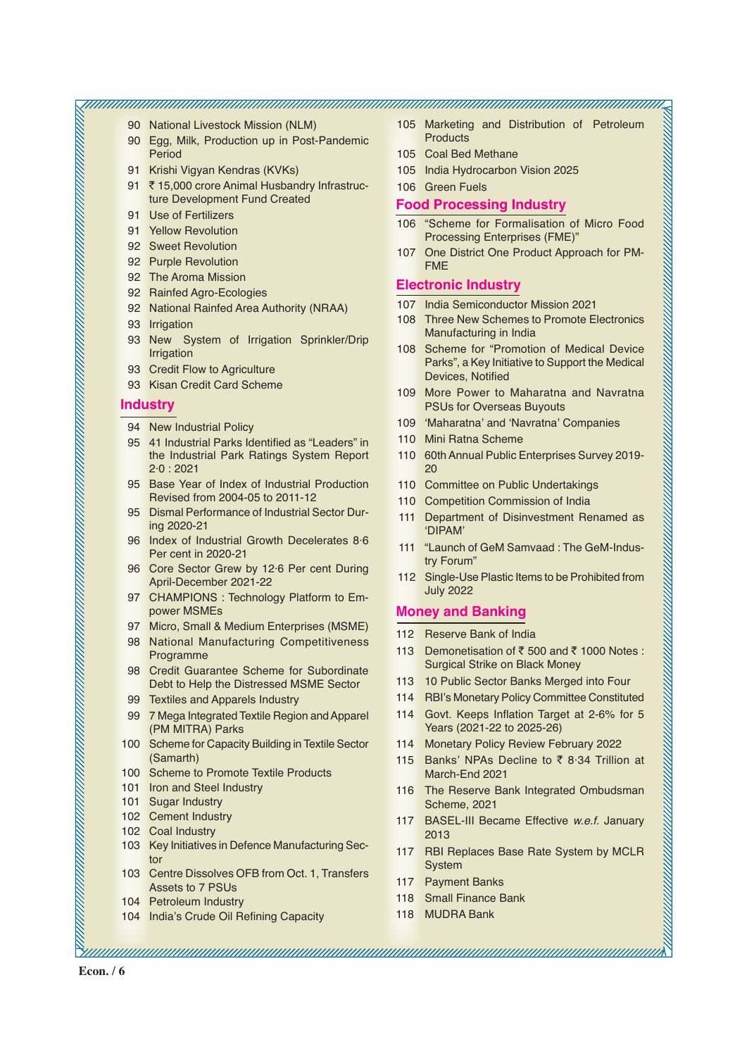90 National Livestock Mission (NLM)

- 90 Egg, Milk, Production up in Post-Pandemic Period
- 91 Krishi Vigyan Kendras (KVKs)
- 91 ₹ 15,000 crore Animal Husbandry Infrastructure Development Fund Created
- 91 Use of Fertilizers
- 91 Yellow Revolution
- 92 Sweet Revolution
- 92 Purple Revolution
- 92 The Aroma Mission
- 92 Rainfed Agro-Ecologies
- 92 National Rainfed Area Authority (NRAA)
- 93 Irrigation
- 93 New System of Irrigation Sprinkler/Drip Irrigation
- 93 Credit Flow to Agriculture
- 93 Kisan Credit Card Scheme

#### **Industry**

- 94 New Industrial Policy
- 95 41 Industrial Parks Identified as "Leaders" in the Industrial Park Ratings System Report 2·0 : 2021
- 95 Base Year of Index of Industrial Production Revised from 2004-05 to 2011-12
- 95 Dismal Performance of Industrial Sector During 2020-21
- 96 Index of Industrial Growth Decelerates 8·6 Per cent in 2020-21
- 96 Core Sector Grew by 12·6 Per cent During April-December 2021-22
- 97 CHAMPIONS : Technology Platform to Empower MSMEs
- 97 Micro, Small & Medium Enterprises (MSME)
- 98 National Manufacturing Competitiveness Programme
- 98 Credit Guarantee Scheme for Subordinate Debt to Help the Distressed MSME Sector
- 99 Textiles and Apparels Industry
- 99 7 Mega Integrated Textile Region and Apparel (PM MITRA) Parks
- 100 Scheme for Capacity Building in Textile Sector (Samarth)
- 100 Scheme to Promote Textile Products
- 101 Iron and Steel Industry
- 101 Sugar Industry
- 102 Cement Industry
- 102 Coal Industry
- 103 Key Initiatives in Defence Manufacturing Sector
- 103 Centre Dissolves OFB from Oct. 1, Transfers Assets to 7 PSUs
- 104 Petroleum Industry
- 104 India's Crude Oil Refining Capacity
- 105 Marketing and Distribution of Petroleum **Products**
- 105 Coal Bed Methane
- 105 India Hydrocarbon Vision 2025
- 106 Green Fuels

# **Food Processing Industry**

- 106 "Scheme for Formalisation of Micro Food Processing Enterprises (FME)"
- 107 One District One Product Approach for PM-FME

# **Electronic Industry**

- 107 India Semiconductor Mission 2021
- 108 Three New Schemes to Promote Electronics Manufacturing in India
- 108 Scheme for "Promotion of Medical Device Parks", a Key Initiative to Support the Medical Devices, Notified
- 109 More Power to Maharatna and Navratna PSUs for Overseas Buyouts
- 109 'Maharatna' and 'Navratna' Companies
- 110 Mini Ratna Scheme
- 110 60th Annual Public Enterprises Survey 2019- 20
- 110 Committee on Public Undertakings
- 110 Competition Commission of India
- 111 Department of Disinvestment Renamed as 'DIPAM'
- 111 "Launch of GeM Samvaad : The GeM-Industry Forum"
- 112 Single-Use Plastic Items to be Prohibited from July 2022

# **Money and Banking**

- 112 Reserve Bank of India
- 113 Demonetisation of  $\bar{\tau}$  500 and  $\bar{\tau}$  1000 Notes : Surgical Strike on Black Money
- 113 10 Public Sector Banks Merged into Four
- 114 RBI's Monetary Policy Committee Constituted
- 114 Govt. Keeps Inflation Target at 2-6% for 5 Years (2021-22 to 2025-26)
- 114 Monetary Policy Review February 2022
- 115 Banks' NPAs Decline to  $\bar{\tau}$  8.34 Trillion at March-End 2021
- 116 The Reserve Bank Integrated Ombudsman Scheme, 2021
- 117 BASEL-III Became Effective *w.e.f.* January 2013
- 117 RBI Replaces Base Rate System by MCLR System
- 117 Payment Banks
- 118 Small Finance Bank
- 118 MUDRA Bank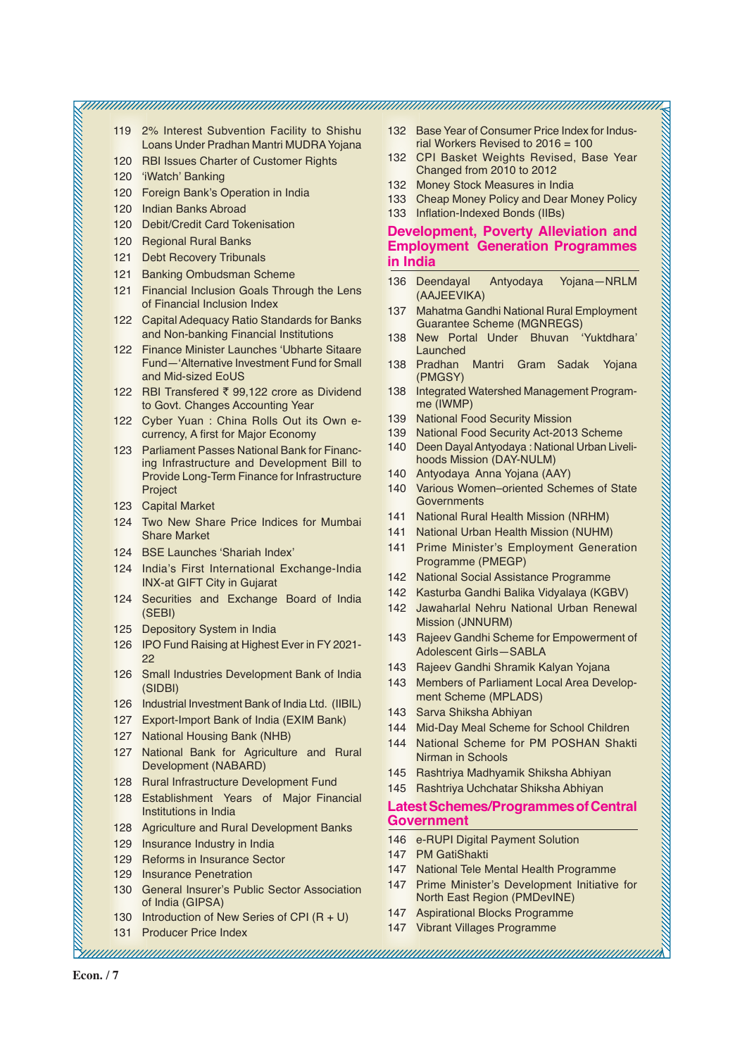- 119 2% Interest Subvention Facility to Shishu Loans Under Pradhan Mantri MUDRA Yojana
- 120 RBI Issues Charter of Customer Rights
- 120 'iWatch' Banking
- 120 Foreign Bank's Operation in India
- 120 Indian Banks Abroad
- 120 Debit/Credit Card Tokenisation
- 120 Regional Rural Banks
- 121 Debt Recovery Tribunals
- 121 Banking Ombudsman Scheme
- 121 Financial Inclusion Goals Through the Lens of Financial Inclusion Index
- 122 Capital Adequacy Ratio Standards for Banks and Non-banking Financial Institutions
- 122 Finance Minister Launches 'Ubharte Sitaare Fund—'Alternative Investment Fund for Small and Mid-sized EoUS
- 122 RBI Transfered  $\bar{\tau}$  99.122 crore as Dividend to Govt. Changes Accounting Year
- 122 Cyber Yuan : China Rolls Out its Own ecurrency, A first for Major Economy
- 123 Parliament Passes National Bank for Financing Infrastructure and Development Bill to Provide Long-Term Finance for Infrastructure Project
- 123 Capital Market
- 124 Two New Share Price Indices for Mumbai Share Market
- 124 BSE Launches 'Shariah Index'
- 124 India's First International Exchange-India INX-at GIFT City in Gujarat
- 124 Securities and Exchange Board of India (SEBI)
- 125 Depository System in India
- 126 IPO Fund Raising at Highest Ever in FY 2021- 22
- 126 Small Industries Development Bank of India (SIDBI)
- 126 Industrial Investment Bank of India Ltd. (IIBIL)
- 127 Export-Import Bank of India (EXIM Bank)
- 127 National Housing Bank (NHB)
- 127 National Bank for Agriculture and Rural Development (NABARD)
- 128 Rural Infrastructure Development Fund
- 128 Establishment Years of Major Financial Institutions in India
- 128 Agriculture and Rural Development Banks
- 129 Insurance Industry in India
- 129 Reforms in Insurance Sector
- 129 Insurance Penetration
- 130 General Insurer's Public Sector Association of India (GIPSA)
- 130 Introduction of New Series of CPI (R + U)
- 131 Producer Price Index
- 132 Base Year of Consumer Price Index for Indusrial Workers Revised to 2016 = 100
- 132 CPI Basket Weights Revised, Base Year Changed from 2010 to 2012
- 132 Money Stock Measures in India
- 133 Cheap Money Policy and Dear Money Policy
- 133 Inflation-Indexed Bonds (IIBs)

# **Development, Poverty Alleviation and Employment Generation Programmes in India**

- 136 Deendayal Antyodaya Yojana—NRLM (AAJEEVIKA)
- 137 Mahatma Gandhi National Rural Employment Guarantee Scheme (MGNREGS)
- 138 New Portal Under Bhuvan 'Yuktdhara' Launched
- 138 Pradhan Mantri Gram Sadak Yojana (PMGSY)
- 138 Integrated Watershed Management Programme (IWMP)
- 139 National Food Security Mission
- 139 National Food Security Act-2013 Scheme
- 140 Deen Dayal Antyodaya : National Urban Livelihoods Mission (DAY-NULM)
- 140 Antyodaya Anna Yojana (AAY)
- 140 Various Women–oriented Schemes of State **Governments**
- 141 National Rural Health Mission (NRHM)
- 141 National Urban Health Mission (NUHM)
- 141 Prime Minister's Employment Generation Programme (PMEGP)
- 142 National Social Assistance Programme
- 142 Kasturba Gandhi Balika Vidyalaya (KGBV)
- 142 Jawaharlal Nehru National Urban Renewal Mission (JNNURM)
- 143 Rajeev Gandhi Scheme for Empowerment of Adolescent Girls—SABLA
- 143 Rajeev Gandhi Shramik Kalyan Yojana
- 143 Members of Parliament Local Area Development Scheme (MPLADS)
- 143 Sarva Shiksha Abhiyan
- 144 Mid-Day Meal Scheme for School Children
- 144 National Scheme for PM POSHAN Shakti Nirman in Schools
- 145 Rashtriya Madhyamik Shiksha Abhiyan
- 145 Rashtriya Uchchatar Shiksha Abhiyan

# **Latest Schemes/Programmes of Central Government**

- 146 e-RUPI Digital Payment Solution
- 147 PM GatiShakti

- 147 National Tele Mental Health Programme
- 147 Prime Minister's Development Initiative for North East Region (PMDevINE)
- 147 Aspirational Blocks Programme
- 147 Vibrant Villages Programme

**Econ. / 7**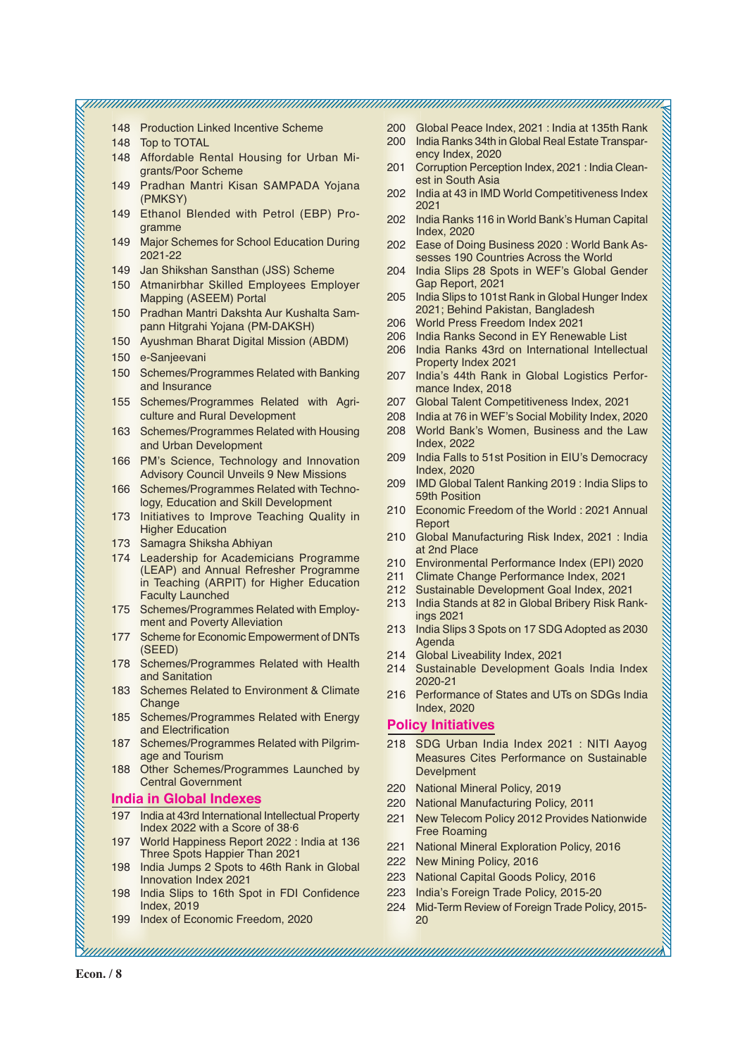| 148 Production Linked Incentive Scheme<br>200 Global Peace Index, 2021 : India at 135th Rank<br>200<br>India Ranks 34th in Global Real Estate Transpar-<br>Top to TOTAL<br>148<br>ency Index, 2020<br>148 Affordable Rental Housing for Urban Mi-<br>Corruption Perception Index, 2021 : India Clean-<br>201<br>grants/Poor Scheme<br>est in South Asia<br>149 Pradhan Mantri Kisan SAMPADA Yojana<br>India at 43 in IMD World Competitiveness Index<br>202<br>(PMKSY)<br>2021<br>Ethanol Blended with Petrol (EBP) Pro-<br>149<br>202 India Ranks 116 in World Bank's Human Capital<br>gramme<br><b>Index, 2020</b><br><b>Major Schemes for School Education During</b><br>149<br>202 Ease of Doing Business 2020: World Bank As-<br>2021-22<br>sesses 190 Countries Across the World<br>Jan Shikshan Sansthan (JSS) Scheme<br>149<br>India Slips 28 Spots in WEF's Global Gender<br>204 |
|-------------------------------------------------------------------------------------------------------------------------------------------------------------------------------------------------------------------------------------------------------------------------------------------------------------------------------------------------------------------------------------------------------------------------------------------------------------------------------------------------------------------------------------------------------------------------------------------------------------------------------------------------------------------------------------------------------------------------------------------------------------------------------------------------------------------------------------------------------------------------------------------|
|                                                                                                                                                                                                                                                                                                                                                                                                                                                                                                                                                                                                                                                                                                                                                                                                                                                                                           |
|                                                                                                                                                                                                                                                                                                                                                                                                                                                                                                                                                                                                                                                                                                                                                                                                                                                                                           |
|                                                                                                                                                                                                                                                                                                                                                                                                                                                                                                                                                                                                                                                                                                                                                                                                                                                                                           |
|                                                                                                                                                                                                                                                                                                                                                                                                                                                                                                                                                                                                                                                                                                                                                                                                                                                                                           |
|                                                                                                                                                                                                                                                                                                                                                                                                                                                                                                                                                                                                                                                                                                                                                                                                                                                                                           |
|                                                                                                                                                                                                                                                                                                                                                                                                                                                                                                                                                                                                                                                                                                                                                                                                                                                                                           |
|                                                                                                                                                                                                                                                                                                                                                                                                                                                                                                                                                                                                                                                                                                                                                                                                                                                                                           |
|                                                                                                                                                                                                                                                                                                                                                                                                                                                                                                                                                                                                                                                                                                                                                                                                                                                                                           |
|                                                                                                                                                                                                                                                                                                                                                                                                                                                                                                                                                                                                                                                                                                                                                                                                                                                                                           |
|                                                                                                                                                                                                                                                                                                                                                                                                                                                                                                                                                                                                                                                                                                                                                                                                                                                                                           |
|                                                                                                                                                                                                                                                                                                                                                                                                                                                                                                                                                                                                                                                                                                                                                                                                                                                                                           |
|                                                                                                                                                                                                                                                                                                                                                                                                                                                                                                                                                                                                                                                                                                                                                                                                                                                                                           |
|                                                                                                                                                                                                                                                                                                                                                                                                                                                                                                                                                                                                                                                                                                                                                                                                                                                                                           |
| Gap Report, 2021<br>Atmanirbhar Skilled Employees Employer<br>150 <sub>1</sub>                                                                                                                                                                                                                                                                                                                                                                                                                                                                                                                                                                                                                                                                                                                                                                                                            |
| 205 India Slips to 101st Rank in Global Hunger Index<br>Mapping (ASEEM) Portal                                                                                                                                                                                                                                                                                                                                                                                                                                                                                                                                                                                                                                                                                                                                                                                                            |
| 2021; Behind Pakistan, Bangladesh<br>Pradhan Mantri Dakshta Aur Kushalta Sam-<br>150                                                                                                                                                                                                                                                                                                                                                                                                                                                                                                                                                                                                                                                                                                                                                                                                      |
| 206 World Press Freedom Index 2021<br>pann Hitgrahi Yojana (PM-DAKSH)                                                                                                                                                                                                                                                                                                                                                                                                                                                                                                                                                                                                                                                                                                                                                                                                                     |
| India Ranks Second in EY Renewable List<br>206<br>150 Ayushman Bharat Digital Mission (ABDM)                                                                                                                                                                                                                                                                                                                                                                                                                                                                                                                                                                                                                                                                                                                                                                                              |
| India Ranks 43rd on International Intellectual<br>206                                                                                                                                                                                                                                                                                                                                                                                                                                                                                                                                                                                                                                                                                                                                                                                                                                     |
| e-Sanjeevani<br>150<br>Property Index 2021                                                                                                                                                                                                                                                                                                                                                                                                                                                                                                                                                                                                                                                                                                                                                                                                                                                |
| 150<br>Schemes/Programmes Related with Banking<br>207<br>India's 44th Rank in Global Logistics Perfor-                                                                                                                                                                                                                                                                                                                                                                                                                                                                                                                                                                                                                                                                                                                                                                                    |
| and Insurance<br>mance Index, 2018                                                                                                                                                                                                                                                                                                                                                                                                                                                                                                                                                                                                                                                                                                                                                                                                                                                        |
| Schemes/Programmes Related with Agri-<br>207<br>Global Talent Competitiveness Index, 2021<br>155                                                                                                                                                                                                                                                                                                                                                                                                                                                                                                                                                                                                                                                                                                                                                                                          |
| culture and Rural Development<br>India at 76 in WEF's Social Mobility Index, 2020<br>208                                                                                                                                                                                                                                                                                                                                                                                                                                                                                                                                                                                                                                                                                                                                                                                                  |
| World Bank's Women, Business and the Law<br>163 Schemes/Programmes Related with Housing<br>208                                                                                                                                                                                                                                                                                                                                                                                                                                                                                                                                                                                                                                                                                                                                                                                            |
| <b>Index, 2022</b><br>and Urban Development                                                                                                                                                                                                                                                                                                                                                                                                                                                                                                                                                                                                                                                                                                                                                                                                                                               |
| India Falls to 51st Position in EIU's Democracy<br>209                                                                                                                                                                                                                                                                                                                                                                                                                                                                                                                                                                                                                                                                                                                                                                                                                                    |
| 166 PM's Science, Technology and Innovation<br><b>Index, 2020</b>                                                                                                                                                                                                                                                                                                                                                                                                                                                                                                                                                                                                                                                                                                                                                                                                                         |
| <b>Advisory Council Unveils 9 New Missions</b>                                                                                                                                                                                                                                                                                                                                                                                                                                                                                                                                                                                                                                                                                                                                                                                                                                            |
| IMD Global Talent Ranking 2019 : India Slips to<br>209<br>Schemes/Programmes Related with Techno-<br>166<br>59th Position                                                                                                                                                                                                                                                                                                                                                                                                                                                                                                                                                                                                                                                                                                                                                                 |
| logy, Education and Skill Development                                                                                                                                                                                                                                                                                                                                                                                                                                                                                                                                                                                                                                                                                                                                                                                                                                                     |
| 210 Economic Freedom of the World: 2021 Annual<br>Initiatives to Improve Teaching Quality in<br>173                                                                                                                                                                                                                                                                                                                                                                                                                                                                                                                                                                                                                                                                                                                                                                                       |
| Report<br><b>Higher Education</b>                                                                                                                                                                                                                                                                                                                                                                                                                                                                                                                                                                                                                                                                                                                                                                                                                                                         |
| 210 Global Manufacturing Risk Index, 2021 : India<br>173 Samagra Shiksha Abhiyan                                                                                                                                                                                                                                                                                                                                                                                                                                                                                                                                                                                                                                                                                                                                                                                                          |
| at 2nd Place<br>Leadership for Academicians Programme<br>174                                                                                                                                                                                                                                                                                                                                                                                                                                                                                                                                                                                                                                                                                                                                                                                                                              |
| 210 Environmental Performance Index (EPI) 2020<br>(LEAP) and Annual Refresher Programme                                                                                                                                                                                                                                                                                                                                                                                                                                                                                                                                                                                                                                                                                                                                                                                                   |
| Climate Change Performance Index, 2021<br>211<br>in Teaching (ARPIT) for Higher Education                                                                                                                                                                                                                                                                                                                                                                                                                                                                                                                                                                                                                                                                                                                                                                                                 |
| 212 Sustainable Development Goal Index, 2021<br><b>Faculty Launched</b>                                                                                                                                                                                                                                                                                                                                                                                                                                                                                                                                                                                                                                                                                                                                                                                                                   |
| India Stands at 82 in Global Bribery Risk Rank-<br>213<br>Schemes/Programmes Related with Employ-<br>175                                                                                                                                                                                                                                                                                                                                                                                                                                                                                                                                                                                                                                                                                                                                                                                  |
| ings 2021<br>ment and Poverty Alleviation                                                                                                                                                                                                                                                                                                                                                                                                                                                                                                                                                                                                                                                                                                                                                                                                                                                 |
| India Slips 3 Spots on 17 SDG Adopted as 2030<br>213<br>Scheme for Economic Empowerment of DNTs<br>177                                                                                                                                                                                                                                                                                                                                                                                                                                                                                                                                                                                                                                                                                                                                                                                    |
| Agenda<br>(SEED)                                                                                                                                                                                                                                                                                                                                                                                                                                                                                                                                                                                                                                                                                                                                                                                                                                                                          |
| 214 Global Liveability Index, 2021<br>178 Schemes/Programmes Related with Health                                                                                                                                                                                                                                                                                                                                                                                                                                                                                                                                                                                                                                                                                                                                                                                                          |
| 214 Sustainable Development Goals India Index<br>and Sanitation                                                                                                                                                                                                                                                                                                                                                                                                                                                                                                                                                                                                                                                                                                                                                                                                                           |
| 2020-21                                                                                                                                                                                                                                                                                                                                                                                                                                                                                                                                                                                                                                                                                                                                                                                                                                                                                   |
| <b>Schemes Related to Environment &amp; Climate</b><br>183<br>216 Performance of States and UTs on SDGs India                                                                                                                                                                                                                                                                                                                                                                                                                                                                                                                                                                                                                                                                                                                                                                             |
| Change<br><b>Index, 2020</b>                                                                                                                                                                                                                                                                                                                                                                                                                                                                                                                                                                                                                                                                                                                                                                                                                                                              |
| <u> ali perduduk di sebagai di sebagai di sebagai di sebagai di sebagai di sebagai di sebagai di sebagai di seba</u><br>185 Schemes/Programmes Related with Energy<br><b>Policy Initiatives</b>                                                                                                                                                                                                                                                                                                                                                                                                                                                                                                                                                                                                                                                                                           |
| and Electrification                                                                                                                                                                                                                                                                                                                                                                                                                                                                                                                                                                                                                                                                                                                                                                                                                                                                       |
| 187 Schemes/Programmes Related with Pilgrim-<br>218 SDG Urban India Index 2021 : NITI Aayog                                                                                                                                                                                                                                                                                                                                                                                                                                                                                                                                                                                                                                                                                                                                                                                               |
| age and Tourism<br>Measures Cites Performance on Sustainable                                                                                                                                                                                                                                                                                                                                                                                                                                                                                                                                                                                                                                                                                                                                                                                                                              |
| 188 Other Schemes/Programmes Launched by<br>Develpment                                                                                                                                                                                                                                                                                                                                                                                                                                                                                                                                                                                                                                                                                                                                                                                                                                    |
| <b>Central Government</b><br>220 National Mineral Policy, 2019                                                                                                                                                                                                                                                                                                                                                                                                                                                                                                                                                                                                                                                                                                                                                                                                                            |
| <b>India in Global Indexes</b><br>220 National Manufacturing Policy, 2011                                                                                                                                                                                                                                                                                                                                                                                                                                                                                                                                                                                                                                                                                                                                                                                                                 |
| 197 India at 43rd International Intellectual Property<br>New Telecom Policy 2012 Provides Nationwide<br>221                                                                                                                                                                                                                                                                                                                                                                                                                                                                                                                                                                                                                                                                                                                                                                               |
| Index 2022 with a Score of 38.6<br><b>Free Roaming</b>                                                                                                                                                                                                                                                                                                                                                                                                                                                                                                                                                                                                                                                                                                                                                                                                                                    |
| 197 World Happiness Report 2022 : India at 136                                                                                                                                                                                                                                                                                                                                                                                                                                                                                                                                                                                                                                                                                                                                                                                                                                            |
| National Mineral Exploration Policy, 2016<br>221<br>Three Spots Happier Than 2021                                                                                                                                                                                                                                                                                                                                                                                                                                                                                                                                                                                                                                                                                                                                                                                                         |
| 222 New Mining Policy, 2016<br>198 India Jumps 2 Spots to 46th Rank in Global                                                                                                                                                                                                                                                                                                                                                                                                                                                                                                                                                                                                                                                                                                                                                                                                             |
| 223 National Capital Goods Policy, 2016<br>Innovation Index 2021                                                                                                                                                                                                                                                                                                                                                                                                                                                                                                                                                                                                                                                                                                                                                                                                                          |
| India's Foreign Trade Policy, 2015-20<br>223<br>India Slips to 16th Spot in FDI Confidence<br>198                                                                                                                                                                                                                                                                                                                                                                                                                                                                                                                                                                                                                                                                                                                                                                                         |
| Index, 2019<br>Mid-Term Review of Foreign Trade Policy, 2015-<br>224                                                                                                                                                                                                                                                                                                                                                                                                                                                                                                                                                                                                                                                                                                                                                                                                                      |
| 199 Index of Economic Freedom, 2020<br>20                                                                                                                                                                                                                                                                                                                                                                                                                                                                                                                                                                                                                                                                                                                                                                                                                                                 |
|                                                                                                                                                                                                                                                                                                                                                                                                                                                                                                                                                                                                                                                                                                                                                                                                                                                                                           |
|                                                                                                                                                                                                                                                                                                                                                                                                                                                                                                                                                                                                                                                                                                                                                                                                                                                                                           |
|                                                                                                                                                                                                                                                                                                                                                                                                                                                                                                                                                                                                                                                                                                                                                                                                                                                                                           |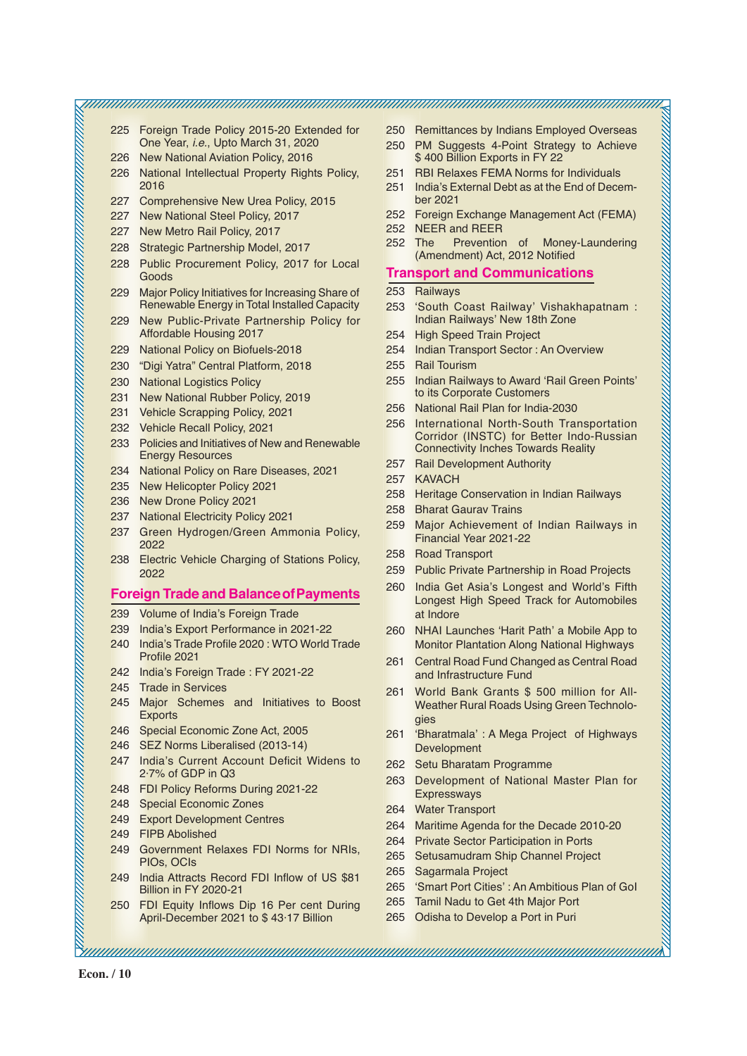225 Foreign Trade Policy 2015-20 Extended for One Year, *i.e.*, Upto March 31, 2020

- 226 New National Aviation Policy, 2016
- 226 National Intellectual Property Rights Policy, 2016
- 227 Comprehensive New Urea Policy, 2015
- 227 New National Steel Policy, 2017
- 227 New Metro Rail Policy, 2017
- 228 Strategic Partnership Model, 2017
- 228 Public Procurement Policy, 2017 for Local Goods
- 229 Major Policy Initiatives for Increasing Share of Renewable Energy in Total Installed Capacity
- 229 New Public-Private Partnership Policy for Affordable Housing 2017
- 229 National Policy on Biofuels-2018
- 230 "Digi Yatra" Central Platform, 2018
- 230 National Logistics Policy
- 231 New National Rubber Policy, 2019
- 231 Vehicle Scrapping Policy, 2021
- 232 Vehicle Recall Policy, 2021
- 233 Policies and Initiatives of New and Renewable Energy Resources
- 234 National Policy on Rare Diseases, 2021
- 235 New Helicopter Policy 2021
- 236 New Drone Policy 2021
- 237 National Electricity Policy 2021
- 237 Green Hydrogen/Green Ammonia Policy, 2022
- 238 Electric Vehicle Charging of Stations Policy, 2022

#### **Foreign Trade and BalanceofPayments**

- 239 Volume of India's Foreign Trade
- 239 India's Export Performance in 2021-22
- 240 India's Trade Profile 2020 : WTO World Trade Profile 2021
- 242 India's Foreign Trade : FY 2021-22
- 245 Trade in Services
- 245 Major Schemes and Initiatives to Boost **Exports**
- 246 Special Economic Zone Act, 2005
- 246 SEZ Norms Liberalised (2013-14)
- 247 India's Current Account Deficit Widens to 2·7% of GDP in Q3
- 248 FDI Policy Reforms During 2021-22
- 248 Special Economic Zones
- 249 Export Development Centres
- 249 FIPB Abolished
- 249 Government Relaxes FDI Norms for NRIs, PIOs, OCIs
- 249 India Attracts Record FDI Inflow of US \$81 Billion in FY 2020-21
- 250 FDI Equity Inflows Dip 16 Per cent During April-December 2021 to \$ 43·17 Billion
- 250 Remittances by Indians Employed Overseas
- 250 PM Suggests 4-Point Strategy to Achieve \$400 Billion Exports in FY 22
- 251 RBI Relaxes FEMA Norms for Individuals
- 251 India's External Debt as at the End of December 2021
- 252 Foreign Exchange Management Act (FEMA) 252 NEER and REER
- 252 The Prevention of Money-Laundering (Amendment) Act, 2012 Notified

#### **Transport and Communications**

253 Railways

- 253 'South Coast Railway' Vishakhapatnam : Indian Railways' New 18th Zone
- 254 High Speed Train Project
- 254 Indian Transport Sector : An Overview
- 255 Rail Tourism
- 255 Indian Railways to Award 'Rail Green Points' to its Corporate Customers
- 256 National Rail Plan for India-2030
- 256 International North-South Transportation Corridor (INSTC) for Better Indo-Russian Connectivity Inches Towards Reality
- 257 Rail Development Authority
- 257 KAVACH
- 258 Heritage Conservation in Indian Railways
- 258 Bharat Gaurav Trains
- 259 Major Achievement of Indian Railways in Financial Year 2021-22
- 258 Road Transport
- 259 Public Private Partnership in Road Projects
- 260 India Get Asia's Longest and World's Fifth Longest High Speed Track for Automobiles at Indore
- 260 NHAI Launches 'Harit Path' a Mobile App to Monitor Plantation Along National Highways
- 261 Central Road Fund Changed as Central Road and Infrastructure Fund
- 261 World Bank Grants \$ 500 million for All-Weather Rural Roads Using Green Technologies
- 261 'Bharatmala' : A Mega Project of Highways Development
- 262 Setu Bharatam Programme
- 263 Development of National Master Plan for Expressways
- 264 Water Transport
- 264 Maritime Agenda for the Decade 2010-20
- 264 Private Sector Participation in Ports
- 265 Setusamudram Ship Channel Project
- 265 Sagarmala Project

- 265 'Smart Port Cities' : An Ambitious Plan of GoI
- 265 Tamil Nadu to Get 4th Major Port
- 265 Odisha to Develop a Port in Puri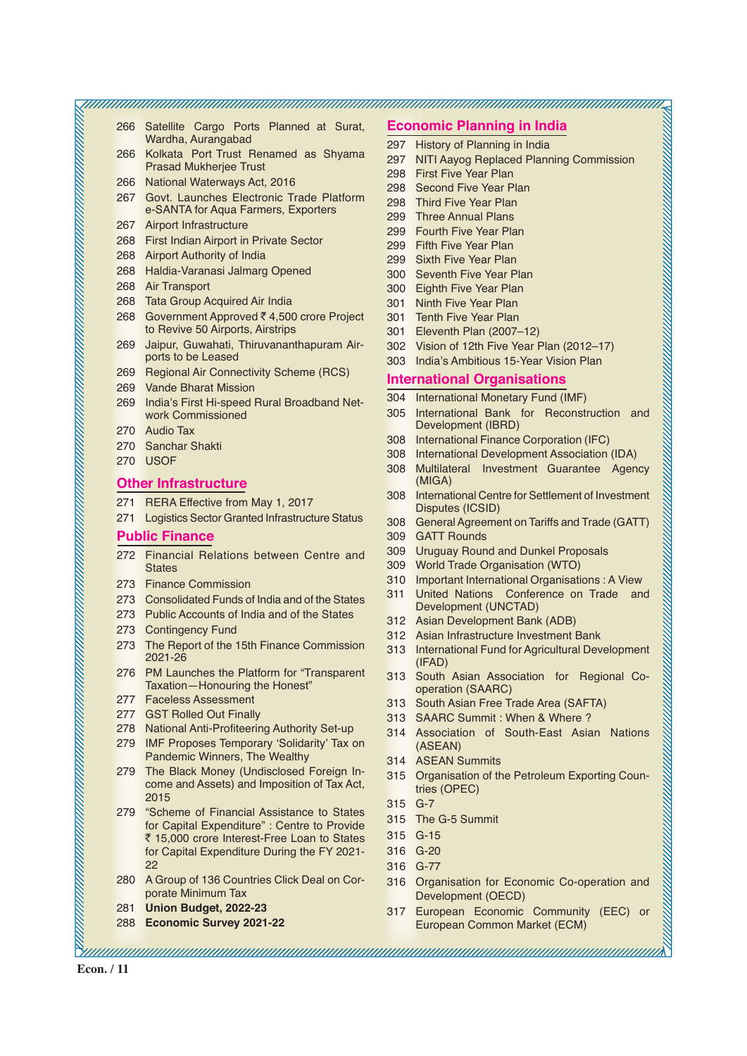266 Satellite Cargo Ports Planned at Surat, Wardha, Aurangabad

- 266 Kolkata Port Trust Renamed as Shyama Prasad Mukherjee Trust
- 266 National Waterways Act, 2016
- 267 Govt. Launches Electronic Trade Platform e-SANTA for Aqua Farmers, Exporters
- 267 Airport Infrastructure
- 268 First Indian Airport in Private Sector
- 268 Airport Authority of India
- 268 Haldia-Varanasi Jalmarg Opened
- 268 Air Transport
- 268 Tata Group Acquired Air India
- 268 Government Approved ₹ 4,500 crore Project to Revive 50 Airports, Airstrips
- 269 Jaipur, Guwahati, Thiruvananthapuram Airports to be Leased
- 269 Regional Air Connectivity Scheme (RCS)
- 269 Vande Bharat Mission
- 269 India's First Hi-speed Rural Broadband Network Commissioned
- 270 Audio Tax
- 270 Sanchar Shakti
- 270 USOF

#### **Other Infrastructure**

- 271 RERA Effective from May 1, 2017
- 271 Logistics Sector Granted Infrastructure Status

#### **Public Finance**

- 272 Financial Relations between Centre and **States**
- 273 Finance Commission
- 273 Consolidated Funds of India and of the States
- 273 Public Accounts of India and of the States
- 273 Contingency Fund
- 273 The Report of the 15th Finance Commission 2021-26
- 276 PM Launches the Platform for "Transparent Taxation—Honouring the Honest"
- 277 Faceless Assessment
- 277 GST Rolled Out Finally
- 278 National Anti-Profiteering Authority Set-up
- 279 IMF Proposes Temporary 'Solidarity' Tax on Pandemic Winners, The Wealthy
- 279 The Black Money (Undisclosed Foreign Income and Assets) and Imposition of Tax Act, 2015
- 279 "Scheme of Financial Assistance to States for Capital Expenditure" : Centre to Provide ₹ 15,000 crore Interest-Free Loan to States for Capital Expenditure During the FY 2021- 22
- 280 A Group of 136 Countries Click Deal on Corporate Minimum Tax
- 281 **Union Budget, 2022-23**
- 288 **Economic Survey 2021-22**

# **Economic Planning in India**

- 297 History of Planning in India
- 297 NITI Aayog Replaced Planning Commission
- 298 First Five Year Plan

- 298 Second Five Year Plan
- 298 Third Five Year Plan
- 299 Three Annual Plans
- 299 Fourth Five Year Plan
- 299 Fifth Five Year Plan
- 299 Sixth Five Year Plan
- 300 Seventh Five Year Plan
- 300 Eighth Five Year Plan
- 301 Ninth Five Year Plan
- 301 Tenth Five Year Plan
- 301 Eleventh Plan (2007–12)
- 302 Vision of 12th Five Year Plan (2012–17)
- 303 India's Ambitious 15-Year Vision Plan

# **International Organisations**

- 304 International Monetary Fund (IMF)
- 305 International Bank for Reconstruction and Development (IBRD)
- 308 International Finance Corporation (IFC)
- 308 International Development Association (IDA)
- 308 Multilateral Investment Guarantee Agency (MIGA)
- 308 International Centre for Settlement of Investment Disputes (ICSID)
- 308 General Agreement on Tariffs and Trade (GATT)
- 309 GATT Rounds
- 309 Uruguay Round and Dunkel Proposals
- 309 World Trade Organisation (WTO)
- 310 Important International Organisations : A View
- 311 United Nations Conference on Trade and Development (UNCTAD)
- 312 Asian Development Bank (ADB)
- 312 Asian Infrastructure Investment Bank
- 313 International Fund for Agricultural Development (IFAD)
- 313 South Asian Association for Regional Cooperation (SAARC)
- 313 South Asian Free Trade Area (SAFTA)
- 313 SAARC Summit : When & Where ?
- 314 Association of South-East Asian Nations (ASEAN)
- 314 ASEAN Summits
- 315 Organisation of the Petroleum Exporting Countries (OPEC)
- 315 G-7
- 315 The G-5 Summit
- 315 G-15
- 316 G-20
- 316 G-77

- 316 Organisation for Economic Co-operation and Development (OECD)
- 317 European Economic Community (EEC) or European Common Market (ECM)

**Econ. / 11**